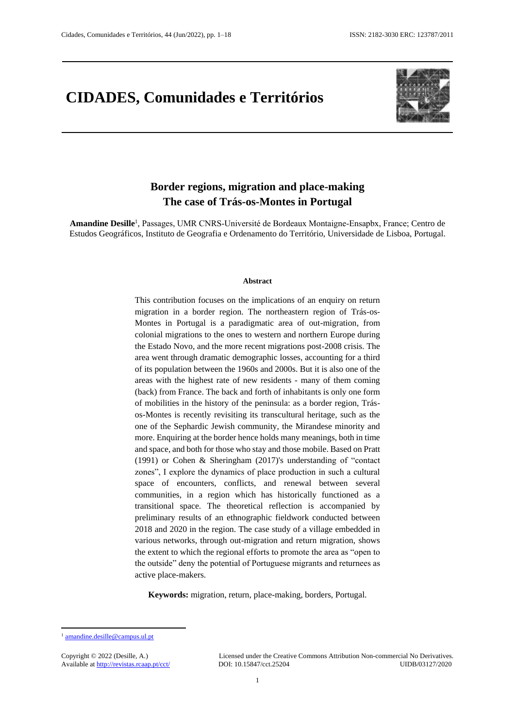# **CIDADES, Comunidades e Territórios**



### **Border regions, migration and place-making The case of Trás-os-Montes in Portugal**

**Amandine Desille**<sup>1</sup> , Passages, UMR CNRS-Université de Bordeaux Montaigne-Ensapbx, France; Centro de Estudos Geográficos, Instituto de Geografia e Ordenamento do Território, Universidade de Lisboa, Portugal.

#### **Abstract**

This contribution focuses on the implications of an enquiry on return migration in a border region. The northeastern region of Trás-os-Montes in Portugal is a paradigmatic area of out-migration, from colonial migrations to the ones to western and northern Europe during the Estado Novo, and the more recent migrations post-2008 crisis. The area went through dramatic demographic losses, accounting for a third of its population between the 1960s and 2000s. But it is also one of the areas with the highest rate of new residents - many of them coming (back) from France. The back and forth of inhabitants is only one form of mobilities in the history of the peninsula: as a border region, Trásos-Montes is recently revisiting its transcultural heritage, such as the one of the Sephardic Jewish community, the Mirandese minority and more. Enquiring at the border hence holds many meanings, both in time and space, and both for those who stay and those mobile. Based on Pratt (1991) or Cohen & Sheringham (2017)'s understanding of "contact zones", I explore the dynamics of place production in such a cultural space of encounters, conflicts, and renewal between several communities, in a region which has historically functioned as a transitional space. The theoretical reflection is accompanied by preliminary results of an ethnographic fieldwork conducted between 2018 and 2020 in the region. The case study of a village embedded in various networks, through out-migration and return migration, shows the extent to which the regional efforts to promote the area as "open to the outside" deny the potential of Portuguese migrants and returnees as active place-makers.

**Keywords:** migration, return, place-making, borders, Portugal.

1

Copyright © 2022 (Desille, A.) Licensed under the Creative Commons Attribution Non-commercial No Derivatives. Available at<http://revistas.rcaap.pt/cct/>DOI: 10.15847/cct.25204 UIDB/03127/2020

<sup>1</sup> [amandine.desille@campus.ul.pt](mailto:amandine.desille@campus.ul.pt)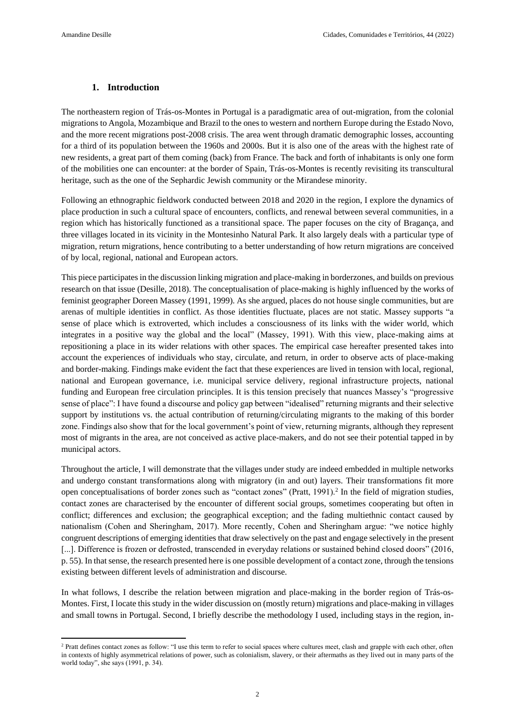#### **1. Introduction**

The northeastern region of Trás-os-Montes in Portugal is a paradigmatic area of out-migration, from the colonial migrations to Angola, Mozambique and Brazil to the ones to western and northern Europe during the Estado Novo, and the more recent migrations post-2008 crisis. The area went through dramatic demographic losses, accounting for a third of its population between the 1960s and 2000s. But it is also one of the areas with the highest rate of new residents, a great part of them coming (back) from France. The back and forth of inhabitants is only one form of the mobilities one can encounter: at the border of Spain, Trás-os-Montes is recently revisiting its transcultural heritage, such as the one of the Sephardic Jewish community or the Mirandese minority.

Following an ethnographic fieldwork conducted between 2018 and 2020 in the region, I explore the dynamics of place production in such a cultural space of encounters, conflicts, and renewal between several communities, in a region which has historically functioned as a transitional space. The paper focuses on the city of Bragança, and three villages located in its vicinity in the Montesinho Natural Park. It also largely deals with a particular type of migration, return migrations, hence contributing to a better understanding of how return migrations are conceived of by local, regional, national and European actors.

This piece participates in the discussion linking migration and place-making in borderzones, and builds on previous research on that issue (Desille, 2018). The conceptualisation of place-making is highly influenced by the works of feminist geographer Doreen Massey (1991, 1999). As she argued, places do not house single communities, but are arenas of multiple identities in conflict. As those identities fluctuate, places are not static. Massey supports "a sense of place which is extroverted, which includes a consciousness of its links with the wider world, which integrates in a positive way the global and the local" (Massey, 1991). With this view, place-making aims at repositioning a place in its wider relations with other spaces. The empirical case hereafter presented takes into account the experiences of individuals who stay, circulate, and return, in order to observe acts of place-making and border-making. Findings make evident the fact that these experiences are lived in tension with local, regional, national and European governance, i.e. municipal service delivery, regional infrastructure projects, national funding and European free circulation principles. It is this tension precisely that nuances Massey's "progressive sense of place": I have found a discourse and policy gap between "idealised" returning migrants and their selective support by institutions vs. the actual contribution of returning/circulating migrants to the making of this border zone. Findings also show that for the local government's point of view, returning migrants, although they represent most of migrants in the area, are not conceived as active place-makers, and do not see their potential tapped in by municipal actors.

Throughout the article, I will demonstrate that the villages under study are indeed embedded in multiple networks and undergo constant transformations along with migratory (in and out) layers. Their transformations fit more open conceptualisations of border zones such as "contact zones" (Pratt, 1991).<sup>2</sup> In the field of migration studies, contact zones are characterised by the encounter of different social groups, sometimes cooperating but often in conflict; differences and exclusion; the geographical exception; and the fading multiethnic contact caused by nationalism (Cohen and Sheringham, 2017). More recently, Cohen and Sheringham argue: "we notice highly congruent descriptions of emerging identities that draw selectively on the past and engage selectively in the present [...]. Difference is frozen or defrosted, transcended in everyday relations or sustained behind closed doors" (2016, p. 55). In that sense, the research presented here is one possible development of a contact zone, through the tensions existing between different levels of administration and discourse.

In what follows, I describe the relation between migration and place-making in the border region of Trás-os-Montes. First, I locate this study in the wider discussion on (mostly return) migrations and place-making in villages and small towns in Portugal. Second, I briefly describe the methodology I used, including stays in the region, in-

<sup>&</sup>lt;sup>2</sup> Pratt defines contact zones as follow: "I use this term to refer to social spaces where cultures meet, clash and grapple with each other, often in contexts of highly asymmetrical relations of power, such as colonialism, slavery, or their aftermaths as they lived out in many parts of the world today", she says (1991, p. 34).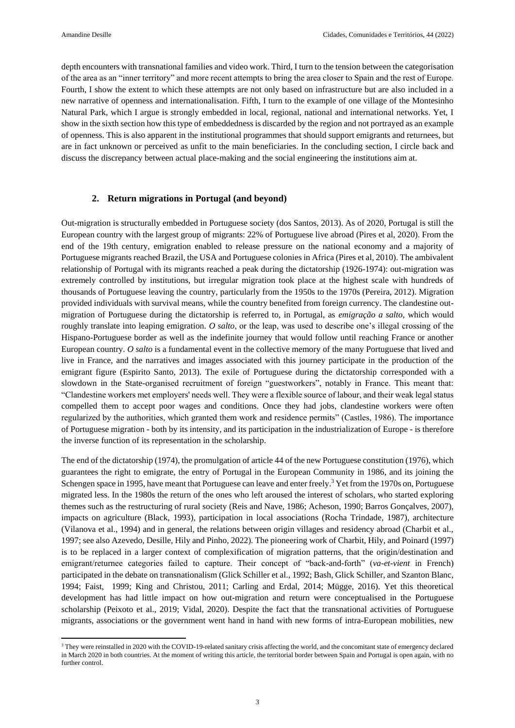depth encounters with transnational families and video work. Third, I turn to the tension between the categorisation of the area as an "inner territory" and more recent attempts to bring the area closer to Spain and the rest of Europe. Fourth, I show the extent to which these attempts are not only based on infrastructure but are also included in a new narrative of openness and internationalisation. Fifth, I turn to the example of one village of the Montesinho Natural Park, which I argue is strongly embedded in local, regional, national and international networks. Yet, I show in the sixth section how this type of embeddedness is discarded by the region and not portrayed as an example of openness. This is also apparent in the institutional programmes that should support emigrants and returnees, but are in fact unknown or perceived as unfit to the main beneficiaries. In the concluding section, I circle back and discuss the discrepancy between actual place-making and the social engineering the institutions aim at.

#### **2. Return migrations in Portugal (and beyond)**

Out-migration is structurally embedded in Portuguese society (dos Santos, 2013). As of 2020, Portugal is still the European country with the largest group of migrants: 22% of Portuguese live abroad (Pires et al, 2020). From the end of the 19th century, emigration enabled to release pressure on the national economy and a majority of Portuguese migrants reached Brazil, the USA and Portuguese colonies in Africa (Pires et al, 2010). The ambivalent relationship of Portugal with its migrants reached a peak during the dictatorship (1926-1974): out-migration was extremely controlled by institutions, but irregular migration took place at the highest scale with hundreds of thousands of Portuguese leaving the country, particularly from the 1950s to the 1970s (Pereira, 2012). Migration provided individuals with survival means, while the country benefited from foreign currency. The clandestine outmigration of Portuguese during the dictatorship is referred to, in Portugal, as *emigração a salto*, which would roughly translate into leaping emigration. *O salto*, or the leap, was used to describe one's illegal crossing of the Hispano-Portuguese border as well as the indefinite journey that would follow until reaching France or another European country. *O salto* is a fundamental event in the collective memory of the many Portuguese that lived and live in France, and the narratives and images associated with this journey participate in the production of the emigrant figure (Espirito Santo, 2013). The exile of Portuguese during the dictatorship corresponded with a slowdown in the State-organised recruitment of foreign "guestworkers", notably in France. This meant that: "Clandestine workers met employers' needs well. They were a flexible source of labour, and their weak legal status compelled them to accept poor wages and conditions. Once they had jobs, clandestine workers were often regularized by the authorities, which granted them work and residence permits" (Castles, 1986). The importance of Portuguese migration - both by its intensity, and its participation in the industrialization of Europe - is therefore the inverse function of its representation in the scholarship.

The end of the dictatorship (1974), the promulgation of article 44 of the new Portuguese constitution (1976), which guarantees the right to emigrate, the entry of Portugal in the European Community in 1986, and its joining the Schengen space in 1995, have meant that Portuguese can leave and enter freely.<sup>3</sup> Yet from the 1970s on, Portuguese migrated less. In the 1980s the return of the ones who left aroused the interest of scholars, who started exploring themes such as the restructuring of rural society (Reis and Nave, 1986; Acheson, 1990; Barros Gonçalves, 2007), impacts on agriculture (Black, 1993), participation in local associations (Rocha Trindade, 1987), architecture (Vilanova et al., 1994) and in general, the relations between origin villages and residency abroad (Charbit et al., 1997; see also Azevedo, Desille, Hily and Pinho, 2022). The pioneering work of Charbit, Hily, and Poinard (1997) is to be replaced in a larger context of complexification of migration patterns, that the origin/destination and emigrant/returnee categories failed to capture. Their concept of "back-and-forth" (*va-et-vient* in French) participated in the debate on transnationalism (Glick Schiller et al., 1992; Bash, Glick Schiller, and Szanton Blanc, 1994; Faist, 1999; King and Christou, 2011; Carling and Erdal, 2014; Mügge, 2016). Yet this theoretical development has had little impact on how out-migration and return were conceptualised in the Portuguese scholarship (Peixoto et al., 2019; Vidal, 2020). Despite the fact that the transnational activities of Portuguese migrants, associations or the government went hand in hand with new forms of intra-European mobilities, new

<sup>&</sup>lt;sup>3</sup> They were reinstalled in 2020 with the COVID-19-related sanitary crisis affecting the world, and the concomitant state of emergency declared in March 2020 in both countries. At the moment of writing this article, the territorial border between Spain and Portugal is open again, with no further control.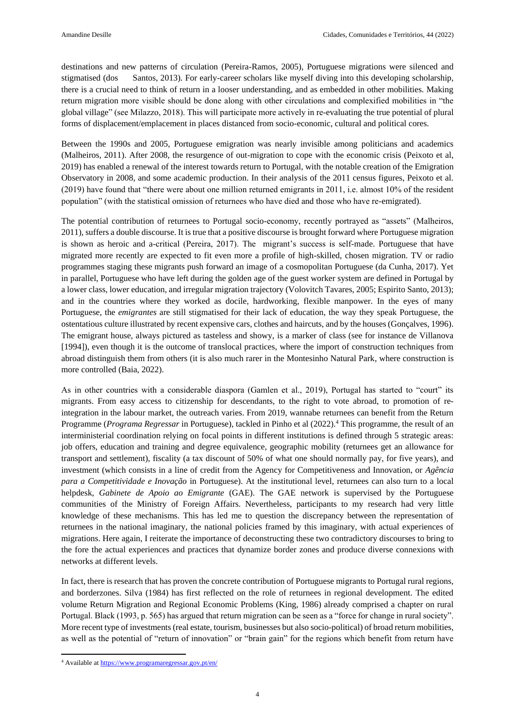destinations and new patterns of circulation (Pereira-Ramos, 2005), Portuguese migrations were silenced and stigmatised (dos Santos, 2013). For early-career scholars like myself diving into this developing scholarship, there is a crucial need to think of return in a looser understanding, and as embedded in other mobilities. Making return migration more visible should be done along with other circulations and complexified mobilities in "the global village" (see Milazzo, 2018). This will participate more actively in re-evaluating the true potential of plural forms of displacement/emplacement in places distanced from socio-economic, cultural and political cores.

Between the 1990s and 2005, Portuguese emigration was nearly invisible among politicians and academics (Malheiros, 2011). After 2008, the resurgence of out-migration to cope with the economic crisis (Peixoto et al, 2019) has enabled a renewal of the interest towards return to Portugal, with the notable creation of the Emigration Observatory in 2008, and some academic production. In their analysis of the 2011 census figures, Peixoto et al. (2019) have found that "there were about one million returned emigrants in 2011, i.e. almost 10% of the resident population" (with the statistical omission of returnees who have died and those who have re-emigrated).

The potential contribution of returnees to Portugal socio-economy, recently portrayed as "assets" (Malheiros, 2011), suffers a double discourse. It is true that a positive discourse is brought forward where Portuguese migration is shown as heroic and a-critical (Pereira, 2017). The migrant's success is self-made. Portuguese that have migrated more recently are expected to fit even more a profile of high-skilled, chosen migration. TV or radio programmes staging these migrants push forward an image of a cosmopolitan Portuguese (da Cunha, 2017). Yet in parallel, Portuguese who have left during the golden age of the guest worker system are defined in Portugal by a lower class, lower education, and irregular migration trajectory (Volovitch Tavares, 2005; Espirito Santo, 2013); and in the countries where they worked as docile, hardworking, flexible manpower. In the eyes of many Portuguese, the *emigrantes* are still stigmatised for their lack of education, the way they speak Portuguese, the ostentatious culture illustrated by recent expensive cars, clothes and haircuts, and by the houses (Gonçalves, 1996). The emigrant house, always pictured as tasteless and showy, is a marker of class (see for instance de Villanova [1994]), even though it is the outcome of translocal practices, where the import of construction techniques from abroad distinguish them from others (it is also much rarer in the Montesinho Natural Park, where construction is more controlled (Baia, 2022).

As in other countries with a considerable diaspora (Gamlen et al., 2019), Portugal has started to "court" its migrants. From easy access to citizenship for descendants, to the right to vote abroad, to promotion of reintegration in the labour market, the outreach varies. From 2019, wannabe returnees can benefit from the Return Programme (*Programa Regressar* in Portuguese), tackled in Pinho et al (2022). <sup>4</sup> This programme, the result of an interministerial coordination relying on focal points in different institutions is defined through 5 strategic areas: job offers, education and training and degree equivalence, geographic mobility (returnees get an allowance for transport and settlement), fiscality (a tax discount of 50% of what one should normally pay, for five years), and investment (which consists in a line of credit from the Agency for Competitiveness and Innovation, or *Agência para a Competitividade e Inovação* in Portuguese). At the institutional level, returnees can also turn to a local helpdesk, *Gabinete de Apoio ao Emigrante* (GAE). The GAE network is supervised by the Portuguese communities of the Ministry of Foreign Affairs. Nevertheless, participants to my research had very little knowledge of these mechanisms. This has led me to question the discrepancy between the representation of returnees in the national imaginary, the national policies framed by this imaginary, with actual experiences of migrations. Here again, I reiterate the importance of deconstructing these two contradictory discourses to bring to the fore the actual experiences and practices that dynamize border zones and produce diverse connexions with networks at different levels.

In fact, there is research that has proven the concrete contribution of Portuguese migrants to Portugal rural regions, and borderzones. Silva (1984) has first reflected on the role of returnees in regional development. The edited volume Return Migration and Regional Economic Problems (King, 1986) already comprised a chapter on rural Portugal. Black (1993, p. 565) has argued that return migration can be seen as a "force for change in rural society". More recent type of investments (real estate, tourism, businesses but also socio-political) of broad return mobilities, as well as the potential of "return of innovation" or "brain gain" for the regions which benefit from return have

**.** 

<sup>4</sup> Available at <https://www.programaregressar.gov.pt/en/>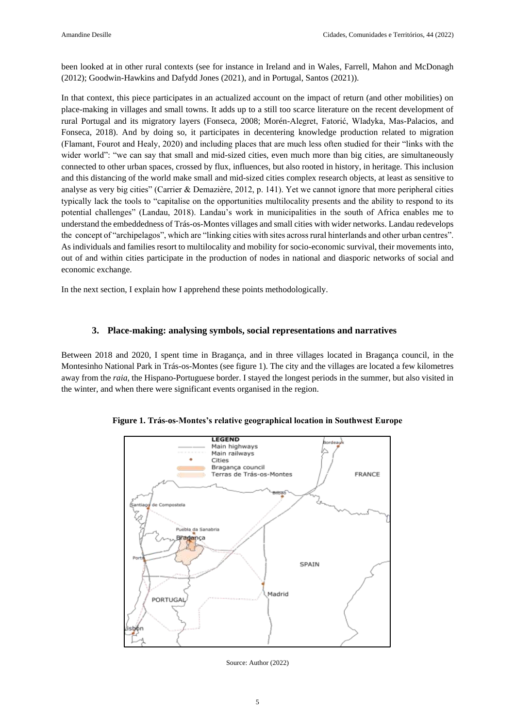been looked at in other rural contexts (see for instance in Ireland and in Wales, Farrell, Mahon and McDonagh (2012); Goodwin-Hawkins and Dafydd Jones (2021), and in Portugal, Santos (2021)).

In that context, this piece participates in an actualized account on the impact of return (and other mobilities) on place-making in villages and small towns. It adds up to a still too scarce literature on the recent development of rural Portugal and its migratory layers (Fonseca, 2008; Morén-Alegret, Fatorić, Wladyka, Mas-Palacios, and Fonseca, 2018). And by doing so, it participates in decentering knowledge production related to migration (Flamant, Fourot and Healy, 2020) and including places that are much less often studied for their "links with the wider world": "we can say that small and mid-sized cities, even much more than big cities, are simultaneously connected to other urban spaces, crossed by flux, influences, but also rooted in history, in heritage. This inclusion and this distancing of the world make small and mid-sized cities complex research objects, at least as sensitive to analyse as very big cities" (Carrier & Demazière, 2012, p. 141). Yet we cannot ignore that more peripheral cities typically lack the tools to "capitalise on the opportunities multilocality presents and the ability to respond to its potential challenges" (Landau, 2018). Landau's work in municipalities in the south of Africa enables me to understand the embeddedness of Trás-os-Montes villages and small cities with wider networks. Landau redevelops the concept of "archipelagos", which are "linking cities with sites across rural hinterlands and other urban centres". As individuals and families resort to multilocality and mobility for socio-economic survival, their movements into, out of and within cities participate in the production of nodes in national and diasporic networks of social and economic exchange.

In the next section, I explain how I apprehend these points methodologically.

### **3. Place-making: analysing symbols, social representations and narratives**

Between 2018 and 2020, I spent time in Bragança, and in three villages located in Bragança council, in the Montesinho National Park in Trás-os-Montes (see figure 1). The city and the villages are located a few kilometres away from the *raia*, the Hispano-Portuguese border. I stayed the longest periods in the summer, but also visited in the winter, and when there were significant events organised in the region.



**Figure 1. Trás-os-Montes's relative geographical location in Southwest Europe**

Source: Author (2022)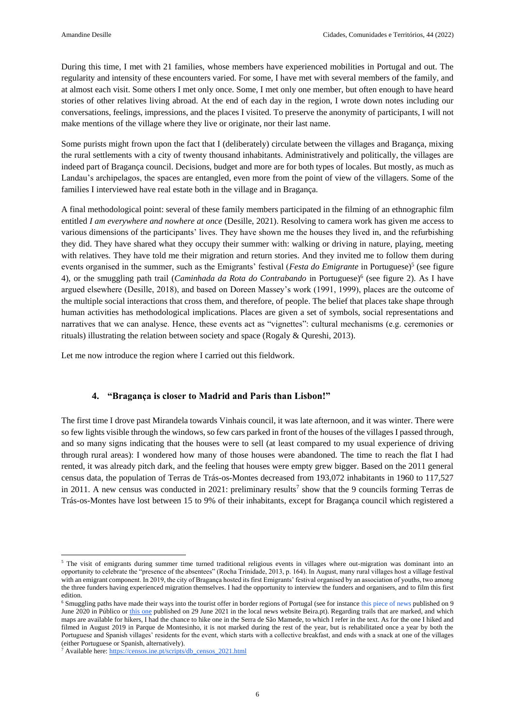During this time, I met with 21 families, whose members have experienced mobilities in Portugal and out. The regularity and intensity of these encounters varied. For some, I have met with several members of the family, and at almost each visit. Some others I met only once. Some, I met only one member, but often enough to have heard stories of other relatives living abroad. At the end of each day in the region, I wrote down notes including our conversations, feelings, impressions, and the places I visited. To preserve the anonymity of participants, I will not make mentions of the village where they live or originate, nor their last name.

Some purists might frown upon the fact that I (deliberately) circulate between the villages and Bragança, mixing the rural settlements with a city of twenty thousand inhabitants. Administratively and politically, the villages are indeed part of Bragança council. Decisions, budget and more are for both types of locales. But mostly, as much as Landau's archipelagos, the spaces are entangled, even more from the point of view of the villagers. Some of the families I interviewed have real estate both in the village and in Bragança.

A final methodological point: several of these family members participated in the filming of an ethnographic film entitled *I am everywhere and nowhere at once* (Desille, 2021). Resolving to camera work has given me access to various dimensions of the participants' lives. They have shown me the houses they lived in, and the refurbishing they did. They have shared what they occupy their summer with: walking or driving in nature, playing, meeting with relatives. They have told me their migration and return stories. And they invited me to follow them during events organised in the summer, such as the Emigrants' festival (*Festa do Emigrante* in Portuguese)<sup>5</sup> (see figure 4), or the smuggling path trail (*Caminhada da Rota do Contrabando* in Portuguese)<sup>6</sup> (see figure 2). As I have argued elsewhere (Desille, 2018), and based on Doreen Massey's work (1991, 1999), places are the outcome of the multiple social interactions that cross them, and therefore, of people. The belief that places take shape through human activities has methodological implications. Places are given a set of symbols, social representations and narratives that we can analyse. Hence, these events act as "vignettes": cultural mechanisms (e.g. ceremonies or rituals) illustrating the relation between society and space (Rogaly & Qureshi, 2013).

Let me now introduce the region where I carried out this fieldwork.

#### **4. "Bragança is closer to Madrid and Paris than Lisbon!"**

The first time I drove past Mirandela towards Vinhais council, it was late afternoon, and it was winter. There were so few lights visible through the windows, so few cars parked in front of the houses of the villages I passed through, and so many signs indicating that the houses were to sell (at least compared to my usual experience of driving through rural areas): I wondered how many of those houses were abandoned. The time to reach the flat I had rented, it was already pitch dark, and the feeling that houses were empty grew bigger. Based on the 2011 general census data, the population of Terras de Trás-os-Montes decreased from 193,072 inhabitants in 1960 to 117,527 in 2011. A new census was conducted in 2021: preliminary results<sup>7</sup> show that the 9 councils forming Terras de Trás-os-Montes have lost between 15 to 9% of their inhabitants, except for Bragança council which registered a

1

<sup>&</sup>lt;sup>5</sup> The visit of emigrants during summer time turned traditional religious events in villages where out-migration was dominant into an opportunity to celebrate the "presence of the absentees" (Rocha Trinidade, 2013, p. 164). In August, many rural villages host a village festival with an emigrant component. In 2019, the city of Bragança hosted its first Emigrants' festival organised by an association of youths, two among the three funders having experienced migration themselves. I had the opportunity to interview the funders and organisers, and to film this first edition.

<sup>&</sup>lt;sup>6</sup> Smuggling paths have made their ways into the tourist offer in border regions of Portugal (see for instance [this piece of news](https://www.publico.pt/2020/06/09/fugas/noticia/chaves-prepara-seis-trilhos-pedestres-rotas-contrabando-vias-romanas-1920003) published on 9 June 2020 in Público or [this one](https://beira.pt/portal/noticias/douro-superior-lanca-projeto-vai-dar-raia-para-reavivar-memorias-do-contrabando/) published on 29 June 2021 in the local news website Beira.pt). Regarding trails that are marked, and which maps are available for hikers, I had the chance to hike one in the Serra de São Mamede, to which I refer in the text. As for the one I hiked and filmed in August 2019 in Parque de Montesinho, it is not marked during the rest of the year, but is rehabilitated once a year by both the Portuguese and Spanish villages' residents for the event, which starts with a collective breakfast, and ends with a snack at one of the villages (either Portuguese or Spanish, alternatively).

<sup>7</sup> Available here[: https://censos.ine.pt/scripts/db\\_censos\\_2021.html](https://censos.ine.pt/scripts/db_censos_2021.html)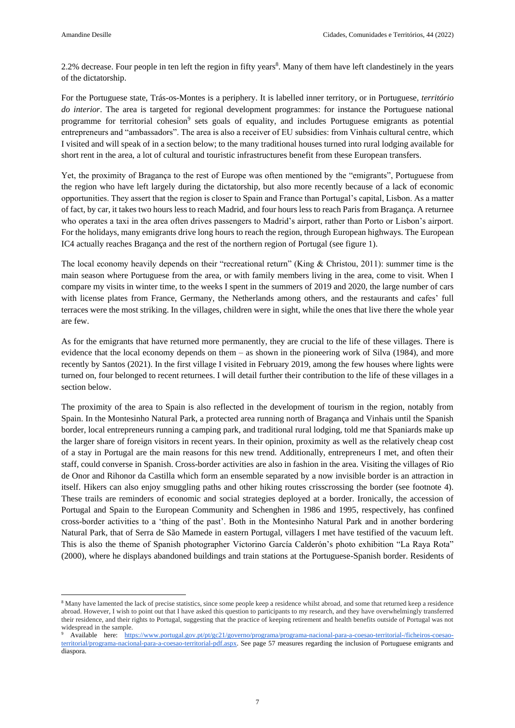2.2% decrease. Four people in ten left the region in fifty years<sup>8</sup>. Many of them have left clandestinely in the years of the dictatorship.

For the Portuguese state, Trás-os-Montes is a periphery. It is labelled inner territory, or in Portuguese, *território do interior*. The area is targeted for regional development programmes: for instance the Portuguese national programme for territorial cohesion<sup>9</sup> sets goals of equality, and includes Portuguese emigrants as potential entrepreneurs and "ambassadors". The area is also a receiver of EU subsidies: from Vinhais cultural centre, which I visited and will speak of in a section below; to the many traditional houses turned into rural lodging available for short rent in the area, a lot of cultural and touristic infrastructures benefit from these European transfers.

Yet, the proximity of Bragança to the rest of Europe was often mentioned by the "emigrants", Portuguese from the region who have left largely during the dictatorship, but also more recently because of a lack of economic opportunities. They assert that the region is closer to Spain and France than Portugal's capital, Lisbon. As a matter of fact, by car, it takes two hours less to reach Madrid, and four hours less to reach Paris from Bragança. A returnee who operates a taxi in the area often drives passengers to Madrid's airport, rather than Porto or Lisbon's airport. For the holidays, many emigrants drive long hours to reach the region, through European highways. The European IC4 actually reaches Bragança and the rest of the northern region of Portugal (see figure 1).

The local economy heavily depends on their "recreational return" (King & Christou, 2011): summer time is the main season where Portuguese from the area, or with family members living in the area, come to visit. When I compare my visits in winter time, to the weeks I spent in the summers of 2019 and 2020, the large number of cars with license plates from France, Germany, the Netherlands among others, and the restaurants and cafes' full terraces were the most striking. In the villages, children were in sight, while the ones that live there the whole year are few.

As for the emigrants that have returned more permanently, they are crucial to the life of these villages. There is evidence that the local economy depends on them – as shown in the pioneering work of Silva (1984), and more recently by Santos (2021). In the first village I visited in February 2019, among the few houses where lights were turned on, four belonged to recent returnees. I will detail further their contribution to the life of these villages in a section below.

The proximity of the area to Spain is also reflected in the development of tourism in the region, notably from Spain. In the Montesinho Natural Park, a protected area running north of Bragança and Vinhais until the Spanish border, local entrepreneurs running a camping park, and traditional rural lodging, told me that Spaniards make up the larger share of foreign visitors in recent years. In their opinion, proximity as well as the relatively cheap cost of a stay in Portugal are the main reasons for this new trend. Additionally, entrepreneurs I met, and often their staff, could converse in Spanish. Cross-border activities are also in fashion in the area. Visiting the villages of Rio de Onor and Rihonor da Castilla which form an ensemble separated by a now invisible border is an attraction in itself. Hikers can also enjoy smuggling paths and other hiking routes crisscrossing the border (see footnote 4). These trails are reminders of economic and social strategies deployed at a border. Ironically, the accession of Portugal and Spain to the European Community and Schenghen in 1986 and 1995, respectively, has confined cross-border activities to a 'thing of the past'. Both in the Montesinho Natural Park and in another bordering Natural Park, that of Serra de São Mamede in eastern Portugal, villagers I met have testified of the vacuum left. This is also the theme of Spanish photographer Victorino García Calderón's photo exhibition "La Raya Rota" (2000), where he displays abandoned buildings and train stations at the Portuguese-Spanish border. Residents of

<sup>8</sup> Many have lamented the lack of precise statistics, since some people keep a residence whilst abroad, and some that returned keep a residence abroad. However, I wish to point out that I have asked this question to participants to my research, and they have overwhelmingly transferred their residence, and their rights to Portugal, suggesting that the practice of keeping retirement and health benefits outside of Portugal was not widespread in the sample.

<sup>9</sup> Available here: [https://www.portugal.gov.pt/pt/gc21/governo/programa/programa-nacional-para-a-coesao-territorial-/ficheiros-coesao](https://www.portugal.gov.pt/pt/gc21/governo/programa/programa-nacional-para-a-coesao-territorial-/ficheiros-coesao-territorial/programa-nacional-para-a-coesao-territorial-pdf.aspx)[territorial/programa-nacional-para-a-coesao-territorial-pdf.aspx.](https://www.portugal.gov.pt/pt/gc21/governo/programa/programa-nacional-para-a-coesao-territorial-/ficheiros-coesao-territorial/programa-nacional-para-a-coesao-territorial-pdf.aspx) See page 57 measures regarding the inclusion of Portuguese emigrants and diaspora.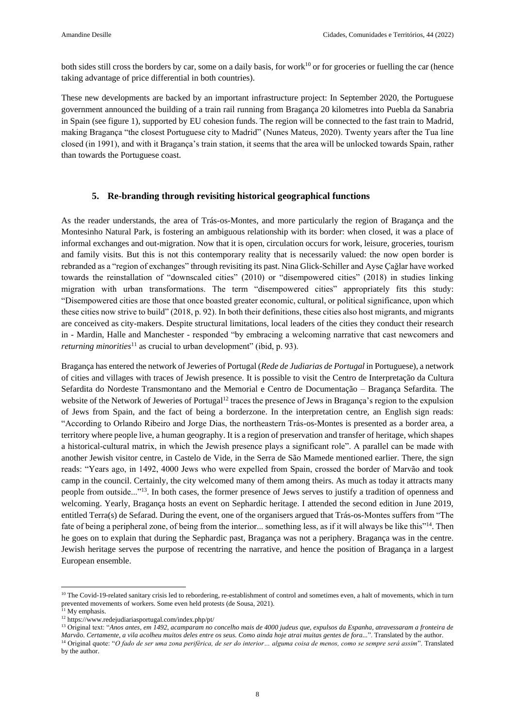both sides still cross the borders by car, some on a daily basis, for work<sup>10</sup> or for groceries or fuelling the car (hence taking advantage of price differential in both countries).

These new developments are backed by an important infrastructure project: In September 2020, the Portuguese government announced the building of a train rail running from Bragança 20 kilometres into Puebla da Sanabria in Spain (see figure 1), supported by EU cohesion funds. The region will be connected to the fast train to Madrid, making Bragança "the closest Portuguese city to Madrid" (Nunes Mateus, 2020). Twenty years after the Tua line closed (in 1991), and with it Bragança's train station, it seems that the area will be unlocked towards Spain, rather than towards the Portuguese coast.

#### **5. Re-branding through revisiting historical geographical functions**

As the reader understands, the area of Trás-os-Montes, and more particularly the region of Bragança and the Montesinho Natural Park, is fostering an ambiguous relationship with its border: when closed, it was a place of informal exchanges and out-migration. Now that it is open, circulation occurs for work, leisure, groceries, tourism and family visits. But this is not this contemporary reality that is necessarily valued: the now open border is rebranded as a "region of exchanges" through revisiting its past. Nina Glick-Schiller and Ayse Çağlar have worked towards the reinstallation of "downscaled cities" (2010) or "disempowered cities" (2018) in studies linking migration with urban transformations. The term "disempowered cities" appropriately fits this study: "Disempowered cities are those that once boasted greater economic, cultural, or political significance, upon which these cities now strive to build" (2018, p. 92). In both their definitions, these cities also host migrants, and migrants are conceived as city-makers. Despite structural limitations, local leaders of the cities they conduct their research in - Mardin, Halle and Manchester - responded "by embracing a welcoming narrative that cast newcomers and *returning minorities*<sup>11</sup> as crucial to urban development" (ibid, p. 93).

Bragança has entered the network of Jeweries of Portugal (*Rede de Judiarias de Portugal* in Portuguese), a network of cities and villages with traces of Jewish presence. It is possible to visit the Centro de Interpretação da Cultura Sefardita do Nordeste Transmontano and the Memorial e Centro de Documentação – Bragança Sefardita. The website of the Network of Jeweries of Portugal<sup>12</sup> traces the presence of Jews in Bragança's region to the expulsion of Jews from Spain, and the fact of being a borderzone. In the interpretation centre, an English sign reads: "According to Orlando Ribeiro and Jorge Dias, the northeastern Trás-os-Montes is presented as a border area, a territory where people live, a human geography. It is a region of preservation and transfer of heritage, which shapes a historical-cultural matrix, in which the Jewish presence plays a significant role". A parallel can be made with another Jewish visitor centre, in Castelo de Vide, in the Serra de São Mamede mentioned earlier. There, the sign reads: "Years ago, in 1492, 4000 Jews who were expelled from Spain, crossed the border of Marvão and took camp in the council. Certainly, the city welcomed many of them among theirs. As much as today it attracts many people from outside..."<sup>13</sup>. In both cases, the former presence of Jews serves to justify a tradition of openness and welcoming. Yearly, Bragança hosts an event on Sephardic heritage. I attended the second edition in June 2019, entitled Terra(s) de Sefarad. During the event, one of the organisers argued that Trás-os-Montes suffers from "The fate of being a peripheral zone, of being from the interior... something less, as if it will always be like this<sup>714</sup>. Then he goes on to explain that during the Sephardic past, Bragança was not a periphery. Bragança was in the centre. Jewish heritage serves the purpose of recentring the narrative, and hence the position of Bragança in a largest European ensemble.

**.** 

<sup>13</sup> Original text: "*Anos antes, em 1492, acamparam no concelho mais de 4000 judeus que, expulsos da Espanha, atravessaram a fronteira de Marvão. Certamente, a vila acolheu muitos deles entre os seus. Como ainda hoje atrai muitas gentes de fora...*". Translated by the author.

<sup>14</sup> Original quote: "*O fado de ser uma zona periférica, de ser do interior… alguma coisa de menos, como se sempre será assim*". Translated by the author.

<sup>&</sup>lt;sup>10</sup> The Covid-19-related sanitary crisis led to rebordering, re-establishment of control and sometimes even, a halt of movements, which in turn prevented movements of workers. Some even held protests (de Sousa, 2021).

 $11$  My emphasis.

<sup>12</sup> <https://www.redejudiariasportugal.com/index.php/pt/>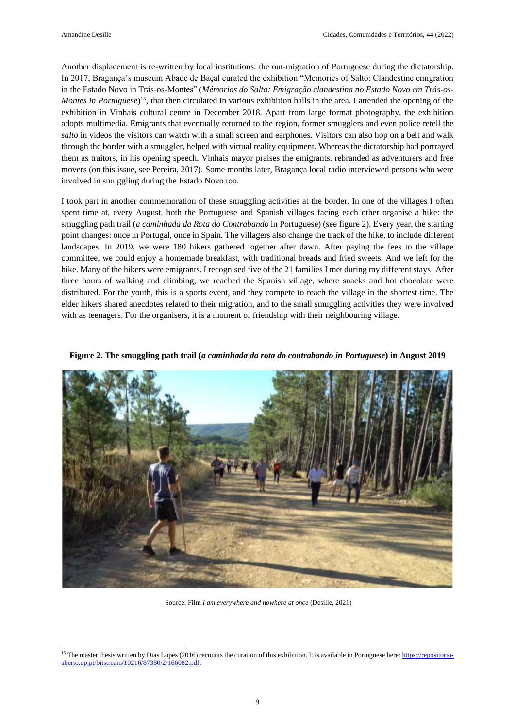Another displacement is re-written by local institutions: the out-migration of Portuguese during the dictatorship. In 2017, Bragança's museum Abade de Baçal curated the exhibition "Memories of Salto: Clandestine emigration in the Estado Novo in Trás-os-Montes" (*Mémorias do Salto: Emigração clandestina no Estado Novo em Trás-os-Montes in Portuguese*) <sup>15</sup>, that then circulated in various exhibition halls in the area. I attended the opening of the exhibition in Vinhais cultural centre in December 2018. Apart from large format photography, the exhibition adopts multimedia. Emigrants that eventually returned to the region, former smugglers and even police retell the *salto* in videos the visitors can watch with a small screen and earphones. Visitors can also hop on a belt and walk through the border with a smuggler, helped with virtual reality equipment. Whereas the dictatorship had portrayed them as traitors, in his opening speech, Vinhais mayor praises the emigrants, rebranded as adventurers and free movers (on this issue, see Pereira, 2017). Some months later, Bragança local radio interviewed persons who were involved in smuggling during the Estado Novo too.

I took part in another commemoration of these smuggling activities at the border. In one of the villages I often spent time at, every August, both the Portuguese and Spanish villages facing each other organise a hike: the smuggling path trail (*a caminhada da Rota do Contrabando* in Portuguese) (see figure 2). Every year, the starting point changes: once in Portugal, once in Spain. The villagers also change the track of the hike, to include different landscapes. In 2019, we were 180 hikers gathered together after dawn. After paying the fees to the village committee, we could enjoy a homemade breakfast, with traditional breads and fried sweets. And we left for the hike. Many of the hikers were emigrants. I recognised five of the 21 families I met during my different stays! After three hours of walking and climbing, we reached the Spanish village, where snacks and hot chocolate were distributed. For the youth, this is a sports event, and they compete to reach the village in the shortest time. The elder hikers shared anecdotes related to their migration, and to the small smuggling activities they were involved with as teenagers. For the organisers, it is a moment of friendship with their neighbouring village.

**Figure 2. The smuggling path trail (***a caminhada da rota do contrabando in Portuguese***) in August 2019**



Source: Film *I am everywhere and nowhere at once* (Desille, 2021)

<sup>&</sup>lt;sup>15</sup> The master thesis written by Dias Lopes (2016) recounts the curation of this exhibition. It is available in Portuguese here[: https://repositorio](https://repositorio-aberto.up.pt/bitstream/10216/87380/2/166082.pdf)[aberto.up.pt/bitstream/10216/87380/2/166082.pdf.](https://repositorio-aberto.up.pt/bitstream/10216/87380/2/166082.pdf)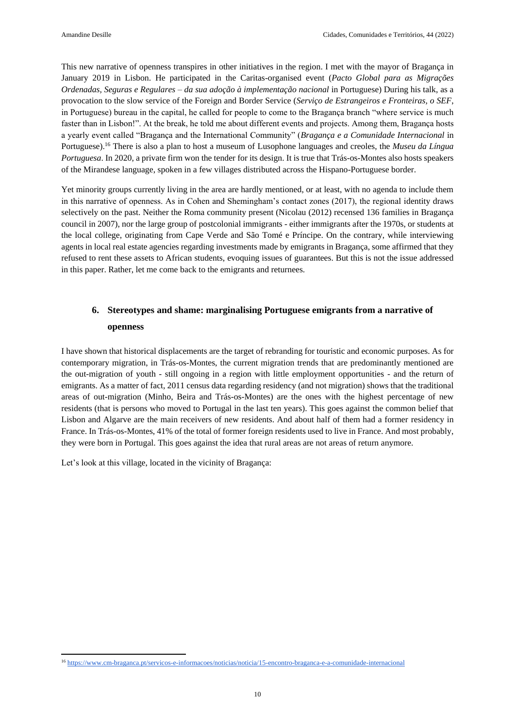This new narrative of openness transpires in other initiatives in the region. I met with the mayor of Bragança in January 2019 in Lisbon. He participated in the Caritas-organised event (*Pacto Global para as Migrações Ordenadas, Seguras e Regulares – da sua adoção à implementação nacional* in Portuguese) During his talk, as a provocation to the slow service of the Foreign and Border Service (*Serviço de Estrangeiros e Fronteiras, o SEF*, in Portuguese) bureau in the capital, he called for people to come to the Bragança branch "where service is much faster than in Lisbon!". At the break, he told me about different events and projects. Among them, Bragança hosts a yearly event called "Bragança and the International Community" (*Bragança e a Comunidade Internacional* in Portuguese). <sup>16</sup> There is also a plan to host a museum of Lusophone languages and creoles, the *Museu da Língua Portuguesa*. In 2020, a private firm won the tender for its design. It is true that Trás-os-Montes also hosts speakers of the Mirandese language, spoken in a few villages distributed across the Hispano-Portuguese border.

Yet minority groups currently living in the area are hardly mentioned, or at least, with no agenda to include them in this narrative of openness. As in Cohen and Shemingham's contact zones (2017), the regional identity draws selectively on the past. Neither the Roma community present (Nicolau (2012) recensed 136 families in Bragança council in 2007), nor the large group of postcolonial immigrants - either immigrants after the 1970s, or students at the local college, originating from Cape Verde and São Tomé e Príncipe. On the contrary, while interviewing agents in local real estate agencies regarding investments made by emigrants in Bragança, some affirmed that they refused to rent these assets to African students, evoquing issues of guarantees. But this is not the issue addressed in this paper. Rather, let me come back to the emigrants and returnees.

## **6. Stereotypes and shame: marginalising Portuguese emigrants from a narrative of openness**

I have shown that historical displacements are the target of rebranding for touristic and economic purposes. As for contemporary migration, in Trás-os-Montes, the current migration trends that are predominantly mentioned are the out-migration of youth - still ongoing in a region with little employment opportunities - and the return of emigrants. As a matter of fact, 2011 census data regarding residency (and not migration) shows that the traditional areas of out-migration (Minho, Beira and Trás-os-Montes) are the ones with the highest percentage of new residents (that is persons who moved to Portugal in the last ten years). This goes against the common belief that Lisbon and Algarve are the main receivers of new residents. And about half of them had a former residency in France. In Trás-os-Montes, 41% of the total of former foreign residents used to live in France. And most probably, they were born in Portugal. This goes against the idea that rural areas are not areas of return anymore.

Let's look at this village, located in the vicinity of Bragança:

**<sup>.</sup>** <sup>16</sup> <https://www.cm-braganca.pt/servicos-e-informacoes/noticias/noticia/15-encontro-braganca-e-a-comunidade-internacional>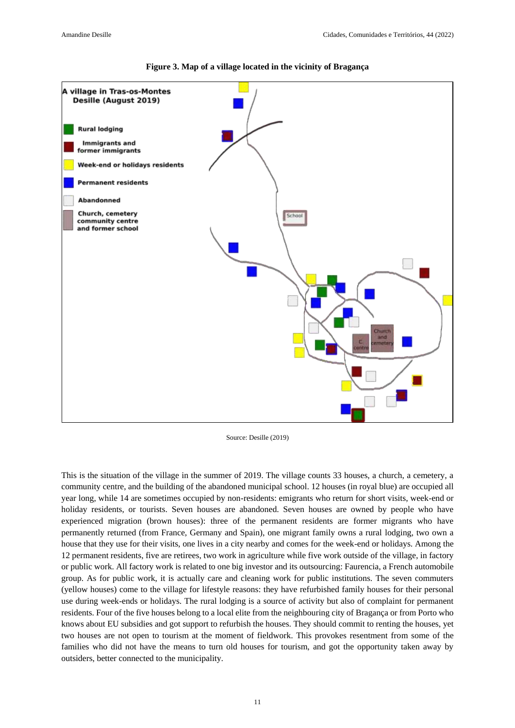

**Figure 3. Map of a village located in the vicinity of Bragança**

Source: Desille (2019)

This is the situation of the village in the summer of 2019. The village counts 33 houses, a church, a cemetery, a community centre, and the building of the abandoned municipal school. 12 houses (in royal blue) are occupied all year long, while 14 are sometimes occupied by non-residents: emigrants who return for short visits, week-end or holiday residents, or tourists. Seven houses are abandoned. Seven houses are owned by people who have experienced migration (brown houses): three of the permanent residents are former migrants who have permanently returned (from France, Germany and Spain), one migrant family owns a rural lodging, two own a house that they use for their visits, one lives in a city nearby and comes for the week-end or holidays. Among the 12 permanent residents, five are retirees, two work in agriculture while five work outside of the village, in factory or public work. All factory work is related to one big investor and its outsourcing: Faurencia, a French automobile group. As for public work, it is actually care and cleaning work for public institutions. The seven commuters (yellow houses) come to the village for lifestyle reasons: they have refurbished family houses for their personal use during week-ends or holidays. The rural lodging is a source of activity but also of complaint for permanent residents. Four of the five houses belong to a local elite from the neighbouring city of Bragança or from Porto who knows about EU subsidies and got support to refurbish the houses. They should commit to renting the houses, yet two houses are not open to tourism at the moment of fieldwork. This provokes resentment from some of the families who did not have the means to turn old houses for tourism, and got the opportunity taken away by outsiders, better connected to the municipality.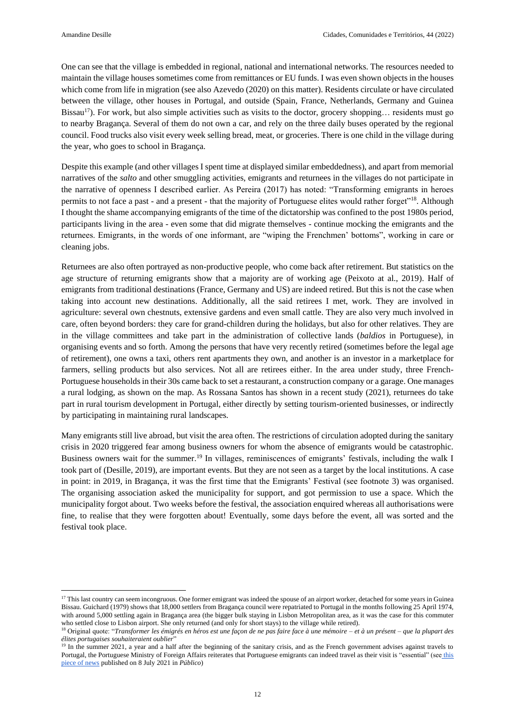One can see that the village is embedded in regional, national and international networks. The resources needed to maintain the village houses sometimes come from remittances or EU funds. I was even shown objects in the houses which come from life in migration (see also Azevedo (2020) on this matter). Residents circulate or have circulated between the village, other houses in Portugal, and outside (Spain, France, Netherlands, Germany and Guinea Bissau<sup>17</sup>). For work, but also simple activities such as visits to the doctor, grocery shopping... residents must go to nearby Bragança. Several of them do not own a car, and rely on the three daily buses operated by the regional council. Food trucks also visit every week selling bread, meat, or groceries. There is one child in the village during the year, who goes to school in Bragança.

Despite this example (and other villages I spent time at displayed similar embeddedness), and apart from memorial narratives of the *salto* and other smuggling activities, emigrants and returnees in the villages do not participate in the narrative of openness I described earlier. As Pereira (2017) has noted: "Transforming emigrants in heroes permits to not face a past - and a present - that the majority of Portuguese elites would rather forget"<sup>18</sup>. Although I thought the shame accompanying emigrants of the time of the dictatorship was confined to the post 1980s period, participants living in the area - even some that did migrate themselves - continue mocking the emigrants and the returnees. Emigrants, in the words of one informant, are "wiping the Frenchmen' bottoms", working in care or cleaning jobs.

Returnees are also often portrayed as non-productive people, who come back after retirement. But statistics on the age structure of returning emigrants show that a majority are of working age (Peixoto at al., 2019). Half of emigrants from traditional destinations (France, Germany and US) are indeed retired. But this is not the case when taking into account new destinations. Additionally, all the said retirees I met, work. They are involved in agriculture: several own chestnuts, extensive gardens and even small cattle. They are also very much involved in care, often beyond borders: they care for grand-children during the holidays, but also for other relatives. They are in the village committees and take part in the administration of collective lands (*baldios* in Portuguese), in organising events and so forth. Among the persons that have very recently retired (sometimes before the legal age of retirement), one owns a taxi, others rent apartments they own, and another is an investor in a marketplace for farmers, selling products but also services. Not all are retirees either. In the area under study, three French-Portuguese households in their 30s came back to set a restaurant, a construction company or a garage. One manages a rural lodging, as shown on the map. As Rossana Santos has shown in a recent study (2021), returnees do take part in rural tourism development in Portugal, either directly by setting tourism-oriented businesses, or indirectly by participating in maintaining rural landscapes.

Many emigrants still live abroad, but visit the area often. The restrictions of circulation adopted during the sanitary crisis in 2020 triggered fear among business owners for whom the absence of emigrants would be catastrophic. Business owners wait for the summer.<sup>19</sup> In villages, reminiscences of emigrants' festivals, including the walk I took part of (Desille, 2019), are important events. But they are not seen as a target by the local institutions. A case in point: in 2019, in Bragança, it was the first time that the Emigrants' Festival (see footnote 3) was organised. The organising association asked the municipality for support, and got permission to use a space. Which the municipality forgot about. Two weeks before the festival, the association enquired whereas all authorisations were fine, to realise that they were forgotten about! Eventually, some days before the event, all was sorted and the festival took place.

<sup>&</sup>lt;sup>17</sup> This last country can seem incongruous. One former emigrant was indeed the spouse of an airport worker, detached for some years in Guinea Bissau. Guichard (1979) shows that 18,000 settlers from Bragança council were repatriated to Portugal in the months following 25 April 1974, with around 5,000 settling again in Bragança area (the bigger bulk staying in Lisbon Metropolitan area, as it was the case for this commuter who settled close to Lisbon airport. She only returned (and only for short stays) to the village while retired).

<sup>18</sup> Original quote: "*Transformer les émigrés en héros est une façon de ne pas faire face à une mémoire – et à un présent – que la plupart des élites portugaises souhaiteraient oublier*"

<sup>&</sup>lt;sup>19</sup> In the summer 2021, a year and a half after the beginning of the sanitary crisis, and as the French government advises against travels to Portugal, the Portuguese Ministry of Foreign Affairs reiterates that Portuguese emigrants can indeed travel as their visit is "essential" (see this [piece of news](https://www.publico.pt/2021/07/08/mundo/noticia/franca-desaconselha-viagens-portugal-santos-silva-lembra-viagens-emigrantes-sao-consideradas-essenciais-1969565) published on 8 July 2021 in *Público*)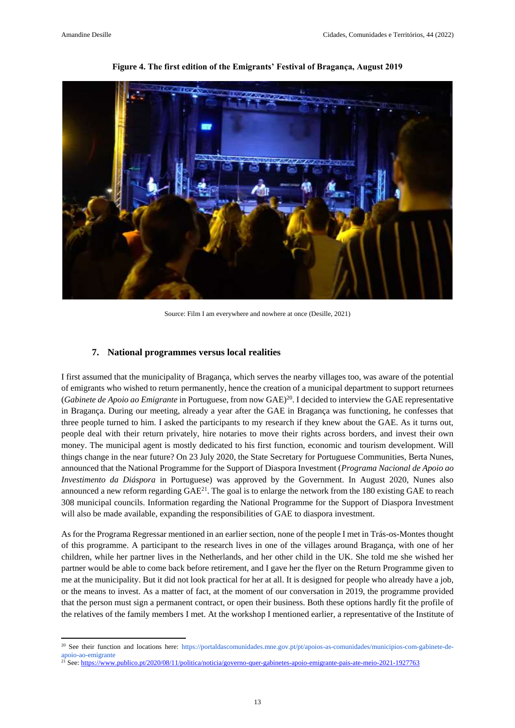

**Figure 4. The first edition of the Emigrants' Festival of Bragança, August 2019**

Source: Film I am everywhere and nowhere at once (Desille, 2021)

#### **7. National programmes versus local realities**

I first assumed that the municipality of Bragança, which serves the nearby villages too, was aware of the potential of emigrants who wished to return permanently, hence the creation of a municipal department to support returnees (*Gabinete de Apoio ao Emigrante* in Portuguese, from now GAE)<sup>20</sup>. I decided to interview the GAE representative in Bragança. During our meeting, already a year after the GAE in Bragança was functioning, he confesses that three people turned to him. I asked the participants to my research if they knew about the GAE. As it turns out, people deal with their return privately, hire notaries to move their rights across borders, and invest their own money. The municipal agent is mostly dedicated to his first function, economic and tourism development. Will things change in the near future? On 23 July 2020, the State Secretary for Portuguese Communities, Berta Nunes, announced that the National Programme for the Support of Diaspora Investment (*Programa Nacional de Apoio ao Investimento da Diáspora* in Portuguese) was approved by the Government. In August 2020, Nunes also announced a new reform regarding  $GAE^{21}$ . The goal is to enlarge the network from the 180 existing  $GAE$  to reach 308 municipal councils. Information regarding the National Programme for the Support of Diaspora Investment will also be made available, expanding the responsibilities of GAE to diaspora investment.

As for the Programa Regressar mentioned in an earlier section, none of the people I met in Trás-os-Montes thought of this programme. A participant to the research lives in one of the villages around Bragança, with one of her children, while her partner lives in the Netherlands, and her other child in the UK. She told me she wished her partner would be able to come back before retirement, and I gave her the flyer on the Return Programme given to me at the municipality. But it did not look practical for her at all. It is designed for people who already have a job, or the means to invest. As a matter of fact, at the moment of our conversation in 2019, the programme provided that the person must sign a permanent contract, or open their business. Both these options hardly fit the profile of the relatives of the family members I met. At the workshop I mentioned earlier, a representative of the Institute of

<sup>&</sup>lt;sup>20</sup> See their function and locations here: [https://portaldascomunidades.mne.gov.pt/pt/apoios-as-comunidades/municipios-com-gabinete-de](https://portaldascomunidades.mne.gov.pt/pt/apoios-as-comunidades/municipios-com-gabinete-de-apoio-ao-emigrante)[apoio-ao-emigrante](https://portaldascomunidades.mne.gov.pt/pt/apoios-as-comunidades/municipios-com-gabinete-de-apoio-ao-emigrante)

<sup>&</sup>lt;sup>21</sup> See[: https://www.publico.pt/2020/08/11/politica/noticia/governo-quer-gabinetes-apoio-emigrante-pais-ate-meio-2021-1927763](https://www.publico.pt/2020/08/11/politica/noticia/governo-quer-gabinetes-apoio-emigrante-pais-ate-meio-2021-1927763)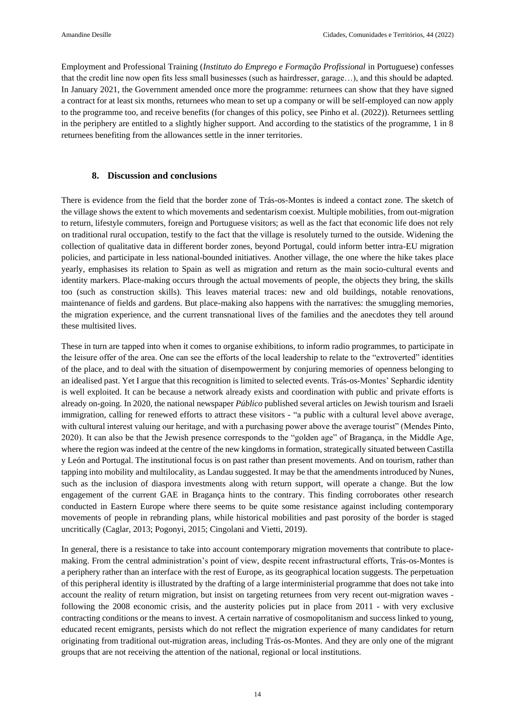Employment and Professional Training (*Instituto do Emprego e Formação Profissional* in Portuguese) confesses that the credit line now open fits less small businesses (such as hairdresser, garage…), and this should be adapted. In January 2021, the Government amended once more the programme: returnees can show that they have signed a contract for at least six months, returnees who mean to set up a company or will be self-employed can now apply to the programme too, and receive benefits (for changes of this policy, see Pinho et al. (2022)). Returnees settling in the periphery are entitled to a slightly higher support. And according to the statistics of the programme, 1 in 8 returnees benefiting from the allowances settle in the inner territories.

#### **8. Discussion and conclusions**

There is evidence from the field that the border zone of Trás-os-Montes is indeed a contact zone. The sketch of the village shows the extent to which movements and sedentarism coexist. Multiple mobilities, from out-migration to return, lifestyle commuters, foreign and Portuguese visitors; as well as the fact that economic life does not rely on traditional rural occupation, testify to the fact that the village is resolutely turned to the outside. Widening the collection of qualitative data in different border zones, beyond Portugal, could inform better intra-EU migration policies, and participate in less national-bounded initiatives. Another village, the one where the hike takes place yearly, emphasises its relation to Spain as well as migration and return as the main socio-cultural events and identity markers. Place-making occurs through the actual movements of people, the objects they bring, the skills too (such as construction skills). This leaves material traces: new and old buildings, notable renovations, maintenance of fields and gardens. But place-making also happens with the narratives: the smuggling memories, the migration experience, and the current transnational lives of the families and the anecdotes they tell around these multisited lives.

These in turn are tapped into when it comes to organise exhibitions, to inform radio programmes, to participate in the leisure offer of the area. One can see the efforts of the local leadership to relate to the "extroverted" identities of the place, and to deal with the situation of disempowerment by conjuring memories of openness belonging to an idealised past. Yet I argue that this recognition is limited to selected events. Trás-os-Montes' Sephardic identity is well exploited. It can be because a network already exists and coordination with public and private efforts is already on-going. In 2020, the national newspaper *Público* published several articles on Jewish tourism and Israeli immigration, calling for renewed efforts to attract these visitors - "a public with a cultural level above average, with cultural interest valuing our heritage, and with a purchasing power above the average tourist" (Mendes Pinto, 2020). It can also be that the Jewish presence corresponds to the "golden age" of Bragança, in the Middle Age, where the region was indeed at the centre of the new kingdoms in formation, strategically situated between Castilla y León and Portugal. The institutional focus is on past rather than present movements. And on tourism, rather than tapping into mobility and multilocality, as Landau suggested. It may be that the amendments introduced by Nunes, such as the inclusion of diaspora investments along with return support, will operate a change. But the low engagement of the current GAE in Bragança hints to the contrary. This finding corroborates other research conducted in Eastern Europe where there seems to be quite some resistance against including contemporary movements of people in rebranding plans, while historical mobilities and past porosity of the border is staged uncritically (Caglar, 2013; Pogonyi, 2015; Cingolani and Vietti, 2019).

In general, there is a resistance to take into account contemporary migration movements that contribute to placemaking. From the central administration's point of view, despite recent infrastructural efforts, Trás-os-Montes is a periphery rather than an interface with the rest of Europe, as its geographical location suggests. The perpetuation of this peripheral identity is illustrated by the drafting of a large interministerial programme that does not take into account the reality of return migration, but insist on targeting returnees from very recent out-migration waves following the 2008 economic crisis, and the austerity policies put in place from 2011 - with very exclusive contracting conditions or the means to invest. A certain narrative of cosmopolitanism and success linked to young, educated recent emigrants, persists which do not reflect the migration experience of many candidates for return originating from traditional out-migration areas, including Trás-os-Montes. And they are only one of the migrant groups that are not receiving the attention of the national, regional or local institutions.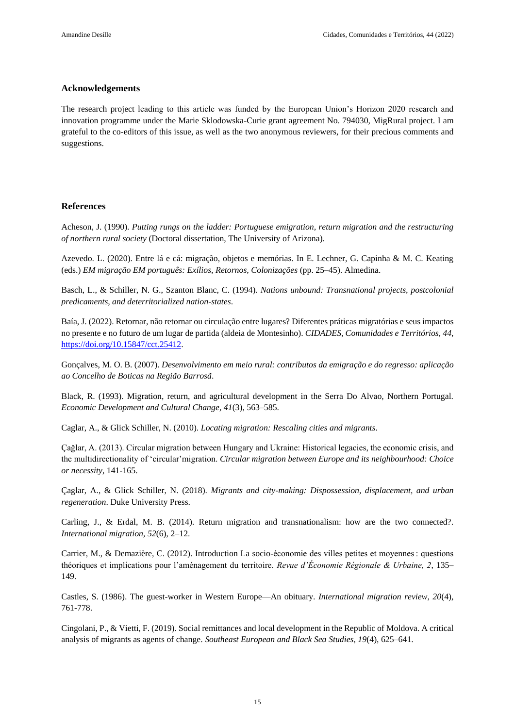#### **Acknowledgements**

The research project leading to this article was funded by the European Union's Horizon 2020 research and innovation programme under the Marie Sklodowska-Curie grant agreement No. 794030, MigRural project. I am grateful to the co-editors of this issue, as well as the two anonymous reviewers, for their precious comments and suggestions.

#### **References**

Acheson, J. (1990). *Putting rungs on the ladder: Portuguese emigration, return migration and the restructuring of northern rural society* (Doctoral dissertation, The University of Arizona).

Azevedo. L. (2020). Entre lá e cá: migração, objetos e memórias. In E. Lechner, G. Capinha & M. C. Keating (eds.) *EM migração EM português: Exílios, Retornos, Colonizações* (pp. 25–45). Almedina.

Basch, L., & Schiller, N. G., Szanton Blanc, C. (1994). *Nations unbound: Transnational projects, postcolonial predicaments, and deterritorialized nation-states*.

Baía, J. (2022). Retornar, não retornar ou circulação entre lugares? Diferentes práticas migratórias e seus impactos no presente e no futuro de um lugar de partida (aldeia de Montesinho). *CIDADES, Comunidades e Territórios, 44*, [https://doi.org/10.15847/cct.25412.](https://doi.org/10.15847/cct.25412)

Gonçalves, M. O. B. (2007). *Desenvolvimento em meio rural: contributos da emigração e do regresso: aplicação ao Concelho de Boticas na Região Barrosã*.

Black, R. (1993). Migration, return, and agricultural development in the Serra Do Alvao, Northern Portugal. *Economic Development and Cultural Change, 41*(3), 563–585.

Caglar, A., & Glick Schiller, N. (2010). *Locating migration: Rescaling cities and migrants*.

Çağlar, A. (2013). Circular migration between Hungary and Ukraine: Historical legacies, the economic crisis, and the multidirectionality of 'circular'migration. *Circular migration between Europe and its neighbourhood: Choice or necessity*, 141-165.

Çaglar, A., & Glick Schiller, N. (2018). *Migrants and city-making: Dispossession, displacement, and urban regeneration*. Duke University Press.

Carling, J., & Erdal, M. B. (2014). Return migration and transnationalism: how are the two connected?. *International migration, 52*(6), 2–12.

Carrier, M., & Demazière, C. (2012). Introduction La socio-économie des villes petites et moyennes : questions théoriques et implications pour l'aménagement du territoire. *Revue d'Économie Régionale & Urbaine, 2*, 135– 149.

Castles, S. (1986). The guest-worker in Western Europe—An obituary. *International migration review, 20*(4), 761-778.

Cingolani, P., & Vietti, F. (2019). Social remittances and local development in the Republic of Moldova. A critical analysis of migrants as agents of change. *Southeast European and Black Sea Studies, 19*(4), 625–641.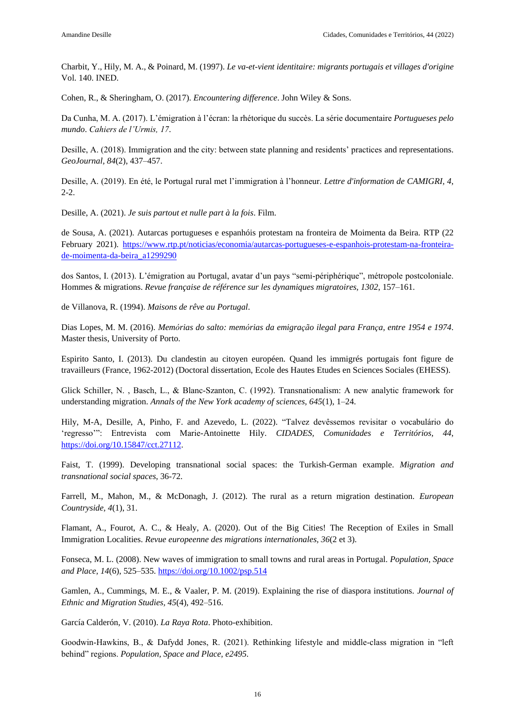Charbit, Y., Hily, M. A., & Poinard, M. (1997). *Le va-et-vient identitaire: migrants portugais et villages d'origine* Vol. 140. INED.

Cohen, R., & Sheringham, O. (2017). *Encountering difference*. John Wiley & Sons.

Da Cunha, M. A. (2017). L'émigration à l'écran: la rhétorique du succès. La série documentaire *Portugueses pelo mundo*. *Cahiers de l'Urmis, 17*.

Desille, A. (2018). Immigration and the city: between state planning and residents' practices and representations. *GeoJournal, 84*(2), 437–457.

Desille, A. (2019). En été, le Portugal rural met l'immigration à l'honneur. *Lettre d'information de CAMIGRI, 4*, 2-2.

Desille, A. (2021). *Je suis partout et nulle part à la fois*. Film.

de Sousa, A. (2021). Autarcas portugueses e espanhóis protestam na fronteira de Moimenta da Beira. RTP (22 February 2021). [https://www.rtp.pt/noticias/economia/autarcas-portugueses-e-espanhois-protestam-na-fronteira](https://www.rtp.pt/noticias/economia/autarcas-portugueses-e-espanhois-protestam-na-fronteira-de-moimenta-da-beira_a1299290)[de-moimenta-da-beira\\_a1299290](https://www.rtp.pt/noticias/economia/autarcas-portugueses-e-espanhois-protestam-na-fronteira-de-moimenta-da-beira_a1299290)

dos Santos, I. (2013). L'émigration au Portugal, avatar d'un pays "semi-périphérique", métropole postcoloniale. Hommes & migrations. *Revue française de référence sur les dynamiques migratoires, 1302*, 157–161.

de Villanova, R. (1994). *Maisons de rêve au Portugal*.

Dias Lopes, M. M. (2016). *Memórias do salto: memórias da emigração ilegal para França, entre 1954 e 1974*. Master thesis, University of Porto.

Espirito Santo, I. (2013). Du clandestin au citoyen européen. Quand les immigrés portugais font figure de travailleurs (France, 1962-2012) (Doctoral dissertation, Ecole des Hautes Etudes en Sciences Sociales (EHESS).

Glick Schiller, N., Basch, L., & Blanc-Szanton, C. (1992). Transnationalism: A new analytic framework for understanding migration. *Annals of the New York academy of sciences, 645*(1), 1–24.

Hily, M-A, Desille, A, Pinho, F. and Azevedo, L. (2022). "Talvez devêssemos revisitar o vocabulário do 'regresso'": Entrevista com Marie-Antoinette Hily. *CIDADES, Comunidades e Territórios, 44*, [https://doi.org/10.15847/cct.27112.](https://doi.org/10.15847/cct.27112)

Faist, T. (1999). Developing transnational social spaces: the Turkish-German example. *Migration and transnational social spaces*, 36-72.

Farrell, M., Mahon, M., & McDonagh, J. (2012). The rural as a return migration destination. *European Countryside, 4*(1), 31.

Flamant, A., Fourot, A. C., & Healy, A. (2020). Out of the Big Cities! The Reception of Exiles in Small Immigration Localities. *Revue europeenne des migrations internationales, 36*(2 et 3).

Fonseca, M. L. (2008). New waves of immigration to small towns and rural areas in Portugal. *Population, Space and Place, 14*(6), 525–535.<https://doi.org/10.1002/psp.514>

Gamlen, A., Cummings, M. E., & Vaaler, P. M. (2019). Explaining the rise of diaspora institutions. *Journal of Ethnic and Migration Studies, 45*(4), 492–516.

García Calderón, V. (2010). *La Raya Rota*. Photo-exhibition.

Goodwin‐Hawkins, B., & Dafydd Jones, R. (2021). Rethinking lifestyle and middle‐class migration in "left behind" regions. *Population, Space and Place, e2495*.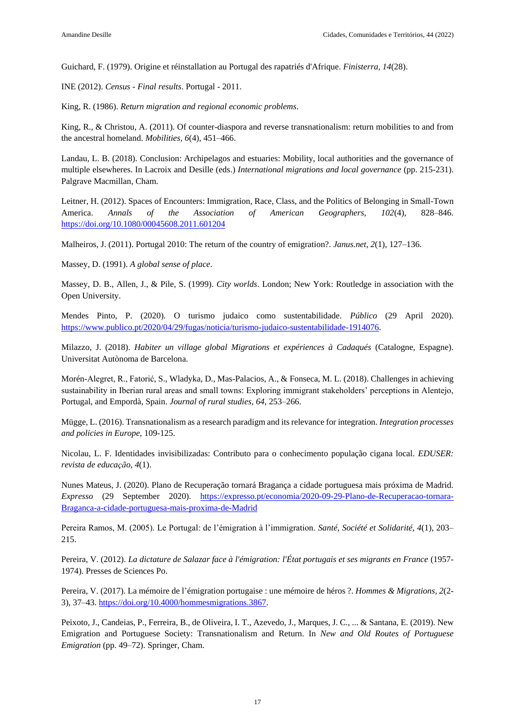Guichard, F. (1979). Origine et réinstallation au Portugal des rapatriés d'Afrique. *Finisterra, 14*(28).

INE (2012). *Census - Final results*. Portugal - 2011.

King, R. (1986). *Return migration and regional economic problems*.

King, R., & Christou, A. (2011). Of counter-diaspora and reverse transnationalism: return mobilities to and from the ancestral homeland. *Mobilities, 6*(4), 451–466.

Landau, L. B. (2018). Conclusion: Archipelagos and estuaries: Mobility, local authorities and the governance of multiple elsewheres. In Lacroix and Desille (eds.) *International migrations and local governance* (pp. 215-231). Palgrave Macmillan, Cham.

Leitner, H. (2012). Spaces of Encounters: Immigration, Race, Class, and the Politics of Belonging in Small-Town America. *Annals of the Association of American Geographers, 102*(4), 828–846. <https://doi.org/10.1080/00045608.2011.601204>

Malheiros, J. (2011). Portugal 2010: The return of the country of emigration?. *Janus.net, 2*(1), 127–136.

Massey, D. (1991). *A global sense of place*.

Massey, D. B., Allen, J., & Pile, S. (1999). *City worlds*. London; New York: Routledge in association with the Open University.

Mendes Pinto, P. (2020). O turismo judaico como sustentabilidade. *Público* (29 April 2020). [https://www.publico.pt/2020/04/29/fugas/noticia/turismo-judaico-sustentabilidade-1914076.](https://www.publico.pt/2020/04/29/fugas/noticia/turismo-judaico-sustentabilidade-1914076)

Milazzo, J. (2018). *Habiter un village global Migrations et expériences à Cadaqués* (Catalogne, Espagne). Universitat Autònoma de Barcelona.

Morén-Alegret, R., Fatorić, S., Wladyka, D., Mas-Palacios, A., & Fonseca, M. L. (2018). Challenges in achieving sustainability in Iberian rural areas and small towns: Exploring immigrant stakeholders' perceptions in Alentejo, Portugal, and Empordà, Spain. *Journal of rural studies, 64*, 253–266.

Mügge, L. (2016). Transnationalism as a research paradigm and its relevance for integration. *Integration processes and policies in Europe*, 109-125.

Nicolau, L. F. Identidades invisibilizadas: Contributo para o conhecimento população cigana local. *EDUSER: revista de educação, 4*(1).

Nunes Mateus, J. (2020). Plano de Recuperação tornará Bragança a cidade portuguesa mais próxima de Madrid. *Expresso* (29 September 2020). [https://expresso.pt/economia/2020-09-29-Plano-de-Recuperacao-tornara-](https://expresso.pt/economia/2020-09-29-Plano-de-Recuperacao-tornara-Braganca-a-cidade-portuguesa-mais-proxima-de-Madrid)[Braganca-a-cidade-portuguesa-mais-proxima-de-Madrid](https://expresso.pt/economia/2020-09-29-Plano-de-Recuperacao-tornara-Braganca-a-cidade-portuguesa-mais-proxima-de-Madrid)

Pereira Ramos, M. (2005). Le Portugal: de l'émigration à l'immigration. *Santé, Société et Solidarité, 4*(1), 203– 215.

Pereira, V. (2012). *La dictature de Salazar face à l'émigration: l'État portugais et ses migrants en France* (1957- 1974). Presses de Sciences Po.

Pereira, V. (2017). La mémoire de l'émigration portugaise : une mémoire de héros ?. *Hommes & Migrations, 2*(2- 3), 37–43. [https://doi.org/10.4000/hommesmigrations.3867.](https://doi.org/10.4000/hommesmigrations.3867)

Peixoto, J., Candeias, P., Ferreira, B., de Oliveira, I. T., Azevedo, J., Marques, J. C., ... & Santana, E. (2019). New Emigration and Portuguese Society: Transnationalism and Return. In *New and Old Routes of Portuguese Emigration* (pp. 49–72). Springer, Cham.